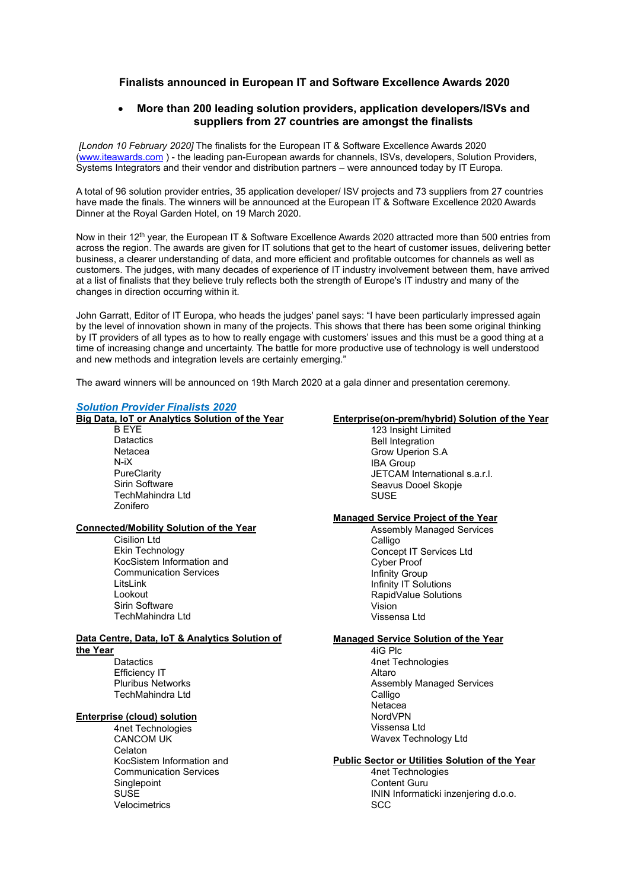# **Finalists announced in European IT and Software Excellence Awards 2020**

# • **More than 200 leading solution providers, application developers/ISVs and suppliers from 27 countries are amongst the finalists**

*[London 10 February 2020]* The finalists for the European IT & Software Excellence Awards 2020 [\(www.iteawards.com](http://www.iteawards.com/) ) - the leading pan-European awards for channels, ISVs, developers, Solution Providers, Systems Integrators and their vendor and distribution partners – were announced today by IT Europa.

A total of 96 solution provider entries, 35 application developer/ ISV projects and 73 suppliers from 27 countries have made the finals. The winners will be announced at the European IT & Software Excellence 2020 Awards Dinner at the Royal Garden Hotel, on 19 March 2020.

Now in their 12<sup>th</sup> year, the European IT & Software Excellence Awards 2020 attracted more than 500 entries from across the region. The awards are given for IT solutions that get to the heart of customer issues, delivering better business, a clearer understanding of data, and more efficient and profitable outcomes for channels as well as customers. The judges, with many decades of experience of IT industry involvement between them, have arrived at a list of finalists that they believe truly reflects both the strength of Europe's IT industry and many of the changes in direction occurring within it.

John Garratt, Editor of IT Europa, who heads the judges' panel says: "I have been particularly impressed again by the level of innovation shown in many of the projects. This shows that there has been some original thinking by IT providers of all types as to how to really engage with customers' issues and this must be a good thing at a time of increasing change and uncertainty. The battle for more productive use of technology is well understood and new methods and integration levels are certainly emerging."

The award winners will be announced on 19th March 2020 at a gala dinner and presentation ceremony.

#### *Solution Provider Finalists 2020*

**Big Data, IoT or Analytics Solution of the Year**

B EYE **Datactics** Netacea N-iX **PureClarity** Sirin Software TechMahindra Ltd Zonifero

#### **Connected/Mobility Solution of the Year**

Cisilion Ltd Ekin Technology KocSistem Information and Communication Services LitsLink Lookout Sirin Software TechMahindra Ltd

#### **Data Centre, Data, IoT & Analytics Solution of the Year**

**Datactics** Efficiency IT Pluribus Networks TechMahindra Ltd

#### **Enterprise (cloud) solution**

4net Technologies CANCOM UK Celaton KocSistem Information and Communication Services **Singlepoint** SUSE Velocimetrics

#### **Enterprise(on-prem/hybrid) Solution of the Year**

123 Insight Limited Bell Integration Grow Uperion S.A IBA Group JETCAM International s.a.r.l. Seavus Dooel Skopje SUSE

#### **Managed Service Project of the Year**

Assembly Managed Services Calligo Concept IT Services Ltd Cyber Proof Infinity Group Infinity IT Solutions RapidValue Solutions Vision Vissensa Ltd

#### **Managed Service Solution of the Year**

4iG Plc 4net Technologies Altaro Assembly Managed Services **Calligo** Netacea NordVPN Vissensa Ltd Wavex Technology Ltd

#### **Public Sector or Utilities Solution of the Year**

4net Technologies Content Guru ININ Informaticki inzenjering d.o.o. **SCC**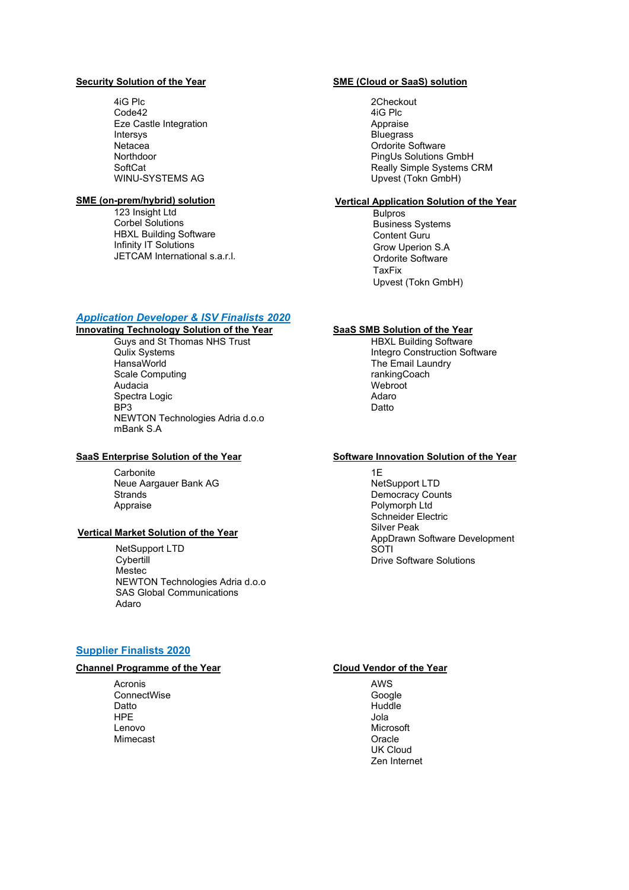#### **Security Solution of the Year**

4iG Plc Code42 Eze Castle Integration Intersys **Netacea** Northdoor **SoftCat** WINU-SYSTEMS AG

#### **SME (on-prem/hybrid) solution**

123 Insight Ltd Corbel Solutions HBXL Building Software Infinity IT Solutions JETCAM International s.a.r.l.

# *Application Developer & ISV Finalists 2020*

**Innovating Technology Solution of the Year** Guys and St Thomas NHS Trust Qulix Systems HansaWorld Scale Computing Audacia Spectra Logic BP3 NEWTON Technologies Adria d.o.o mBank S.A

# **SaaS Enterprise Solution of the Year**

**Carbonite** Neue Aargauer Bank AG **Strands** Appraise

# **Vertical Market Solution of the Year**

NetSupport LTD **Cybertill** Mestec NEWTON Technologies Adria d.o.o SAS Global Communications **Adaro** 

# **Supplier Finalists 2020**

#### **Channel Programme of the Year**

Acronis **ConnectWise** Datto **HPE** Lenovo Mimecast

## **SME (Cloud or SaaS) solution**

2Checkout 4iG Plc Appraise Bluegrass Ordorite Software PingUs Solutions GmbH Really Simple Systems CRM Upvest (Tokn GmbH)

#### **Vertical Application Solution of the Year**

Bulpros Business Systems Content Guru Grow Uperion S.A Ordorite Software TaxFix Upvest (Tokn GmbH)

# **SaaS SMB Solution of the Year**

HBXL Building Software Integro Construction Software The Email Laundry rankingCoach **Webroot** Adaro Datto

# **Software Innovation Solution of the Year**

1E NetSupport LTD Democracy Counts Polymorph Ltd Schneider Electric Silver Peak AppDrawn Software Development **SOTI** Drive Software Solutions

# **Cloud Vendor of the Year**

AWS Google Huddle Jola Microsoft **Oracle** UK Cloud Zen Internet